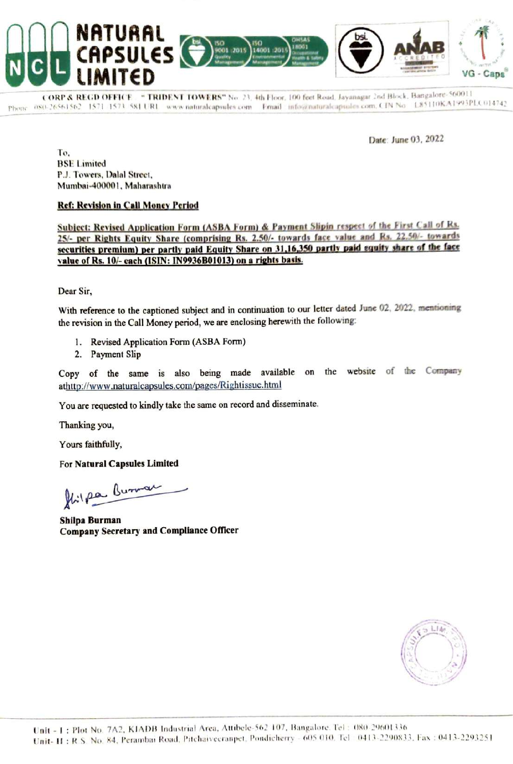

CORP & REGD OFFICE . " TRIDENT TOWERS" No. 23, 4th Floor, 100 feet Road, Jayanagar 2nd Block, Bangalore- 560011 Phone 080-26561562 1571-1573 SXI URL www.naturalcapsules.com Email info@naturalcapsules.com, CIN No L85110KA1993PLC014742

Date: June 03, 2022

To, BSE Limited PJ. Towers, Dalal Street, Mumbai-400001, Maharashtra

# Ref: Revision in Call Money Period

Subject: Revised Application Form (ASBA Form) & Payment Slipin respect of the First Call of Ka. 25/- per Rights Equity Share (comprising Rs. 2.50/- towards face value and Rs. 22.50/- towards<br>securities premium) per partly paid Equity Share on 31,16,350 partly paid equity share of the face value of Rs. 10/- each (ISIN: IN9936B01013) on a rights basis.

Dear Sir,

With reference to the captioned subject and in continuation to our letter dated June 02, 2022, mentioning the revision in the Call Money period, we are enclosing herewith the following:

- 1. Revised Application Form (ASBA Form)
- 2. Payment Slip

Copy of the same is also being made<br>athttp://www.naturalcapsules.com/pages/Rightissue<br>You are requested to kindly take the same on record at<br>Thanking you,<br>Yours faithfully,<br>For Natural Capsules Limited<br>Shilpa Burman<br>Shilpa Copy of the same is also being made available on the website of the Company athttp://www.naturalcapsules.com/pages/Rightissue.html

You are requested to kindly take the same on record and disseminate.

Thanking you,

Yours faithfully,

For Natural Capsules Limited

Stilpa Burnar

Shilpa Burman Company Secretary and Compliance Officer

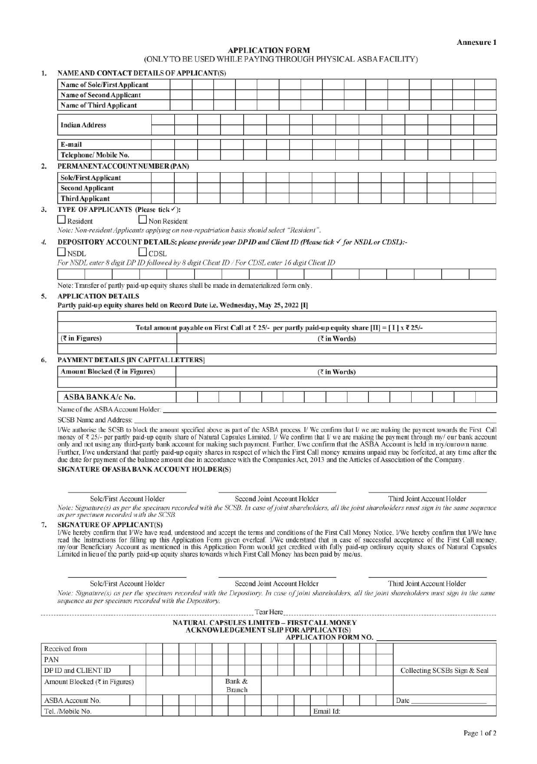# APPLICATION FORM

2.

| 1.  |                                                                                                                                                                                                                                                                                                                                                                                                                                                                                                                  |                     |  |                         |                                                                                             |                     |                             |                                                                                                                        |                              |                   |
|-----|------------------------------------------------------------------------------------------------------------------------------------------------------------------------------------------------------------------------------------------------------------------------------------------------------------------------------------------------------------------------------------------------------------------------------------------------------------------------------------------------------------------|---------------------|--|-------------------------|---------------------------------------------------------------------------------------------|---------------------|-----------------------------|------------------------------------------------------------------------------------------------------------------------|------------------------------|-------------------|
|     |                                                                                                                                                                                                                                                                                                                                                                                                                                                                                                                  |                     |  |                         |                                                                                             |                     |                             |                                                                                                                        |                              |                   |
|     |                                                                                                                                                                                                                                                                                                                                                                                                                                                                                                                  |                     |  |                         |                                                                                             |                     |                             |                                                                                                                        |                              |                   |
|     |                                                                                                                                                                                                                                                                                                                                                                                                                                                                                                                  |                     |  |                         |                                                                                             |                     |                             |                                                                                                                        |                              |                   |
|     |                                                                                                                                                                                                                                                                                                                                                                                                                                                                                                                  |                     |  |                         |                                                                                             |                     |                             |                                                                                                                        |                              |                   |
|     |                                                                                                                                                                                                                                                                                                                                                                                                                                                                                                                  |                     |  |                         |                                                                                             |                     |                             |                                                                                                                        |                              |                   |
|     |                                                                                                                                                                                                                                                                                                                                                                                                                                                                                                                  |                     |  |                         |                                                                                             |                     |                             |                                                                                                                        |                              |                   |
|     |                                                                                                                                                                                                                                                                                                                                                                                                                                                                                                                  |                     |  |                         |                                                                                             |                     |                             |                                                                                                                        |                              |                   |
|     |                                                                                                                                                                                                                                                                                                                                                                                                                                                                                                                  |                     |  |                         |                                                                                             |                     |                             |                                                                                                                        |                              |                   |
|     |                                                                                                                                                                                                                                                                                                                                                                                                                                                                                                                  |                     |  |                         |                                                                                             |                     |                             |                                                                                                                        |                              |                   |
|     |                                                                                                                                                                                                                                                                                                                                                                                                                                                                                                                  |                     |  |                         |                                                                                             |                     |                             |                                                                                                                        |                              |                   |
|     |                                                                                                                                                                                                                                                                                                                                                                                                                                                                                                                  |                     |  |                         | <b>APPLICATION FORM</b>                                                                     |                     |                             |                                                                                                                        |                              | <b>Annexure 1</b> |
|     | <b>NAME AND CONTACT DETAILS OF APPLICANT(S)</b>                                                                                                                                                                                                                                                                                                                                                                                                                                                                  |                     |  |                         | (ONLY TO BE USED WHILE PAYING THROUGH PHYSICAL ASBA FACILITY)                               |                     |                             |                                                                                                                        |                              |                   |
|     | <b>Name of Sole/First Applicant</b><br><b>Name of Second Applicant</b>                                                                                                                                                                                                                                                                                                                                                                                                                                           |                     |  |                         |                                                                                             |                     |                             |                                                                                                                        |                              |                   |
|     | <b>Name of Third Applicant</b><br><b>Indian Address</b>                                                                                                                                                                                                                                                                                                                                                                                                                                                          |                     |  |                         |                                                                                             |                     |                             |                                                                                                                        |                              |                   |
|     | E-mail                                                                                                                                                                                                                                                                                                                                                                                                                                                                                                           |                     |  |                         |                                                                                             |                     |                             |                                                                                                                        |                              |                   |
|     | Telephone/Mobile No.<br>PERMANENTACCOUNT NUMBER (PAN)                                                                                                                                                                                                                                                                                                                                                                                                                                                            |                     |  |                         |                                                                                             |                     |                             |                                                                                                                        |                              |                   |
|     | <b>Sole/First Applicant</b><br><b>Second Applicant</b>                                                                                                                                                                                                                                                                                                                                                                                                                                                           |                     |  |                         |                                                                                             |                     |                             |                                                                                                                        |                              |                   |
|     | <b>Third Applicant</b><br>TYPE OF APPLICANTS (Please tick√):<br>$\Box$ Resident                                                                                                                                                                                                                                                                                                                                                                                                                                  | $\Box$ Non Resident |  |                         |                                                                                             |                     |                             |                                                                                                                        |                              |                   |
|     | Note: Non-resident Applicants applying on non-repatriation basis should select "Resident".<br><b>DEPOSITORY ACCOUNT DETAILS: please provide your DPID and Client ID (Please tick √ for NSDL or CDSL):-</b>                                                                                                                                                                                                                                                                                                       |                     |  |                         |                                                                                             |                     |                             |                                                                                                                        |                              |                   |
|     | $\Box$ NSDL<br>For NSDL enter 8 digit DP ID followed by 8 digit Client ID / For CDSL enter 16 digit Client ID                                                                                                                                                                                                                                                                                                                                                                                                    | $\Box$ CDSL         |  |                         |                                                                                             |                     |                             |                                                                                                                        |                              |                   |
|     | Note: Transfer of partly paid-up equity shares shall be made in dematerialized form only.                                                                                                                                                                                                                                                                                                                                                                                                                        |                     |  |                         |                                                                                             |                     |                             |                                                                                                                        |                              |                   |
|     | <b>APPLICATION DETAILS</b><br>Partly paid-up equity shares held on Record Date i.e. Wednesday, May 25, 2022 [I]                                                                                                                                                                                                                                                                                                                                                                                                  |                     |  |                         |                                                                                             |                     |                             |                                                                                                                        |                              |                   |
|     |                                                                                                                                                                                                                                                                                                                                                                                                                                                                                                                  |                     |  |                         |                                                                                             |                     |                             |                                                                                                                        |                              |                   |
|     |                                                                                                                                                                                                                                                                                                                                                                                                                                                                                                                  |                     |  |                         |                                                                                             |                     |                             | Total amount payable on First Call at $\bar{\tau}$ 25/- per partly paid-up equity share [II] = [1] x $\bar{\tau}$ 25/- |                              |                   |
|     | $(7$ in Figures)                                                                                                                                                                                                                                                                                                                                                                                                                                                                                                 |                     |  |                         |                                                                                             | $(3 \infty)$ Words) |                             |                                                                                                                        |                              |                   |
|     | PAYMENT DETAILS [IN CAPITAL LETTERS]<br>Amount Blocked (₹ in Figures)                                                                                                                                                                                                                                                                                                                                                                                                                                            |                     |  |                         |                                                                                             | $(3 \infty)$ Words) |                             |                                                                                                                        |                              |                   |
|     | ASBA BANKA/c No.                                                                                                                                                                                                                                                                                                                                                                                                                                                                                                 |                     |  |                         |                                                                                             |                     |                             |                                                                                                                        |                              |                   |
|     | Name of the ASBA Account Holder:<br><b>SCSB Name and Address:</b>                                                                                                                                                                                                                                                                                                                                                                                                                                                |                     |  |                         |                                                                                             |                     |                             |                                                                                                                        |                              |                   |
|     | I/We authorise the SCSB to block the amount specified above as part of the ASBA process. I/We confirm that I/we are making the payment towards the First Call<br>money of ₹ 25/- per partly paid-up equity share of Natural Capsules Limited. I/ We confirm that I/ we are making the payment through my/ our bank account<br>only and not using any third-party bank account for making such payment. Further, I/we confirm that the ASBA Account is held in my/ourown name.                                    |                     |  |                         |                                                                                             |                     |                             |                                                                                                                        |                              |                   |
|     | Further, I/we understand that partly paid-up equity shares in respect of which the First Call money remains unpaid may be forfeited, at any time after the<br>due date for payment of the balance amount due in accordance with the Companies Act, 2013 and the Articles of Association of the Company.<br>SIGNATURE OFASBA BANK ACCOUNT HOLDER(S)                                                                                                                                                               |                     |  |                         |                                                                                             |                     |                             |                                                                                                                        |                              |                   |
|     |                                                                                                                                                                                                                                                                                                                                                                                                                                                                                                                  |                     |  |                         |                                                                                             |                     |                             |                                                                                                                        |                              |                   |
|     | Sole/First Account Holder<br>Note: Signature(s) as per the specimen recorded with the SCSB. In case of joint shareholders, all the joint shareholders must sign in the same sequence<br>as per specimen recorded with the SCSB.                                                                                                                                                                                                                                                                                  |                     |  |                         | Second Joint Account Holder                                                                 |                     |                             | Third Joint Account Holder                                                                                             |                              |                   |
|     | <b>SIGNATURE OF APPLICANT(S)</b><br>I/We hereby confirm that I/We have read, understood and accept the terms and conditions of the First Call Money Notice. I/We hereby confirm that I/We have<br>read the Instructions for filling up this Application Form given overleaf. I/We understand that in case of successful acceptance of the First Call money,<br>my/our Beneficiary Account as mentioned in this Application Form would get credited with fully paid-up ordinary equity shares of Natural Capsules |                     |  |                         |                                                                                             |                     |                             |                                                                                                                        |                              |                   |
|     | Limited in lieu of the partly paid-up equity shares towards which First Call Money has been paid by me/us.                                                                                                                                                                                                                                                                                                                                                                                                       |                     |  |                         |                                                                                             |                     |                             |                                                                                                                        |                              |                   |
|     | Sole/First Account Holder<br>Note: Signature(s) as per the specimen recorded with the Depository. In case of joint shareholders, all the joint shareholders must sign in the same                                                                                                                                                                                                                                                                                                                                |                     |  |                         | Second Joint Account Holder                                                                 |                     |                             | Third Joint Account Holder                                                                                             |                              |                   |
|     | sequence as per specimen recorded with the Depository.                                                                                                                                                                                                                                                                                                                                                                                                                                                           |                     |  |                         |                                                                                             |                     |                             |                                                                                                                        |                              |                   |
|     |                                                                                                                                                                                                                                                                                                                                                                                                                                                                                                                  |                     |  |                         | NATURAL CAPSULES LIMITED - FIRST CALL MONEY<br><b>ACKNOWLEDGEMENT SLIP FOR APPLICANT(S)</b> |                     | <b>APPLICATION FORM NO.</b> |                                                                                                                        |                              |                   |
|     | Received from                                                                                                                                                                                                                                                                                                                                                                                                                                                                                                    |                     |  |                         |                                                                                             |                     |                             |                                                                                                                        |                              |                   |
| PAN | DP ID and CLIENT ID<br>Amount Blocked ( $\overline{\xi}$ in Figures)                                                                                                                                                                                                                                                                                                                                                                                                                                             |                     |  | Bank &<br><b>Branch</b> |                                                                                             |                     |                             |                                                                                                                        | Collecting SCSBs Sign & Seal |                   |

|                                               |           | NATURAL CAPSULES LIMITED - FIRST CALL MONEY<br><b>ACKNOWLEDGEMENT SLIP FOR APPLICANT(S)</b> |  | <b>APPLICATION FORM NO.</b> |  |                              |
|-----------------------------------------------|-----------|---------------------------------------------------------------------------------------------|--|-----------------------------|--|------------------------------|
| Received from                                 |           |                                                                                             |  |                             |  |                              |
| PAN                                           |           |                                                                                             |  |                             |  |                              |
| DP ID and CLIENT ID                           |           |                                                                                             |  |                             |  | Collecting SCSBs Sign & Seal |
| Amount Blocked ( $\overline{\xi}$ in Figures) |           | Bank &<br><b>Branch</b>                                                                     |  |                             |  |                              |
| ASBA Account No.                              |           |                                                                                             |  |                             |  | Date                         |
| Tel. /Mobile No.                              | Email Id: |                                                                                             |  |                             |  |                              |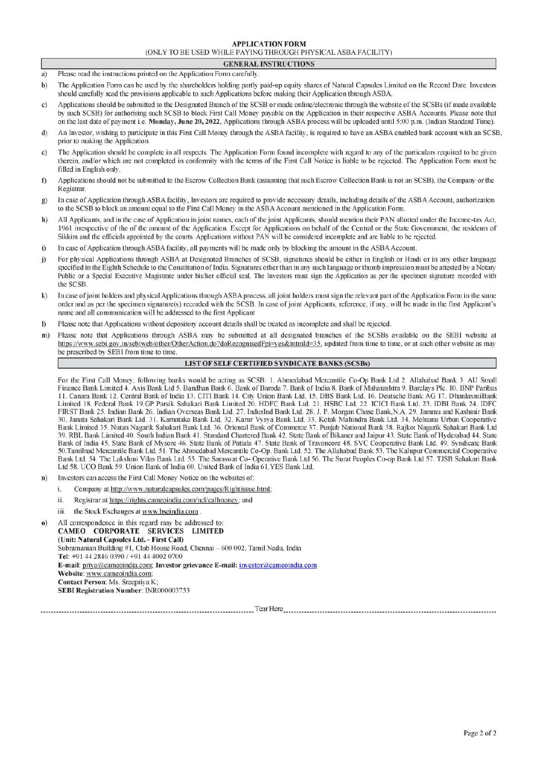### APPLICATION FORM

| APPLICATION FORM                                              |
|---------------------------------------------------------------|
| (ONLY TO BE USED WHILE PAYING THROUGH PHYSICAL ASBA FACILITY) |

### GENERAL INSTRUCTIONS

- a) Please read the instructions printed on the Application Form carefully.
- b) The Application Form can be used by the shareholders holding partly paid-up equity shares of Natural Capsules Limited on the Record Date. Investors should carefully read the provisions applicable to such Applications before making their Application through ASBA.
- c) Applications should be submitted to the Designated Branch of the SCSB or made online/electronic through the website of the SCSBs (if made available by such SCSB) for authorising such SCSB to block First Call Money payable on the Application in their respective ASBA Accounts. Please note that on the last date of payment i.c. Monday, June 20, 2022, Applications through ASBA process will be uploaded until 5:00 p.m. (Indian Standard Time).
- d) An Investor, wishing to participate in this First Call Money through the ASBA facility, is required to have an ASBA enabled bank account with an SCSB, prior to making the Application.
- e) The Application should be complete in all respects. The Application Form found incomplete with regard to any of the particulars required to be given therein, and/or which are not completed in conformity with the terms of the First Call Notice is liable to be rejected. The Application Form must be filled in English only.
- Applications should not be submitted to the Escrow Collection Bank (assuming that such Escrow Collection Bank is not an SCSB), the Company or the  $\Omega$ Registrar.
- 8) In case of Application through ASBA facility, Investors are required to provide necessary details, including details of the ASBA Account, authorization to the SCSB to block an amount equal to the First Call Money in the ASBA Account mentioned in the Application Form.
- h) All Applicants, and in the case of Application in joint names, each of the joint Applicants, should mention their PAN allotted under the Income-tax Act, 1961 irrespective of the of the amount of the Application. Except for Applications on behalf of the Central or the State Government, the residents of Sikkim and the officials appointed by the courts. Applications without PAN will be considered incomplete and are liable to be rejected.
- i) In case of Application through ASBA facility, all payments will be made only by blocking the amount in the ASBA Account.
- j) For physical Applications through ASBA at Designated Branches of SCSB, signatures should be either in English or Hindi or in any other language specified in the Eighth Schedule to the Constitution of India. Signatures other than in any such language or thumb impression must be attested by a Notary Public or a Special Executive Magistrate under his/her official seal. The Investors must sign the Application as per the specimen signature recorded with the SCSB. (ONLY TO BE USED WHI. APPLICATION FORM<br>(NEW ASSA EXAILITY)<br>
Flease read the instructions princed on the Applications Tom and the USE (NEW PIVISION HYPISICAL ASBA EXAILITY)<br>
The Applications Form can be used by the shareho **APPLICATIO**<br>(ONLY TO BE USED WHILE PAYING THE<br>**CREATIO**<br>(ONLY TO BE USED WHILE PAYING THE<br>Please read the instructions printed on the Application Form carefully.<br>The Application Form can be used by the shareholders holdi
- k) In case of joint holders and physical Applications through ASBA process, all joint holders must sign the relevant part of the Application Form in the same order and as per the specimen signature(s) recorded with the SCSB. In case of joint Applicants, reference, if any, will be made in the first Applicant's name and all communication will be addressed to the first Applicant
- $\overline{D}$ Please note that Applications without depository account details shall be treated as incomplete and shall be rejected.
- m) Please note that Applications through ASBA may be submitted at all designated branches of the SCSBs available on the SEBI website at https://www.sebi.gov.in/sebiweb/other/OtherAction.do?doRecognisedFpi=yes&intmId=35, updated from time to time, or at such other website as may be prescribed by SEBI from time to time.

# LIST OF SELF CERTIFIED SYNDICATE BANKS (SCSBs)

For the First Call Money, following banks would be acting as SCSB: 1. Ahmedabad Mercantile Co-Op Bank Ltd 2. Allahabad Bank 3. AU Small Finance Bank Limited 4. Axis Bank Ltd 5. Bandhan Bank 6. Bank of Baroda 7. Bank of India 8. Bank of Maharashtra 9. Barclays Plc. 10. BNP Paribas 11. Canara Bank 12. Central Bank of India 13. CITI Bank 14. City Union Bank Ltd. 15. DBS Bank Ltd. 16. Deutsche Bank AG 17. DhanlaxmiBank Limited 18. Federal Bank 19.GP Parsik Sahakari Bank Limited 20. HDFC Bank Ltd. 21. HSBC Ltd. 22. ICICI Bank Ltd. 23. IDBI Bank 24. IDFC FIRST Bank 25. Indian Bank 26. Indian Overseas Bank Ltd. 27. IndusInd Bank Ltd. 28. J. P. Morgan Chase Bank,N.A. 29. Jammu and Kashmir Bank 30. Janata Sahakari Bank Ltd. 31. Karnataka Bank Ltd. 32. Karur Vysya Bank Ltd. 33. Kotak Mahindra Bank Ltd. 34. Mehsana Urban Cooperative Bank Limited 35. Nutan Nagarik Sahakari Bank Ltd. 36. Oriental Bank of Commerce 37. Punjab National Bank 38. Rajkot Nagarik Sahakari Bank Ltd 39. RBL Bank Limited 40. South Indian Bank 41. Standard Chartered Bank 42. State Bank of Bikaner and Jaipur 43. State Bank of Hyderabad 44. State Bank of India 45. State Bank of Mysore 46. State Bank of Patiala 47. State Bank of Travancore 48. SVC Cooperative Bank Ltd. 49. Syndicate Bank 50.Tamilnad Mercantile Bank Ltd. 51. The Ahmedabad Mercantile Co-Op. Bank Ltd. 52. The Allahabad Bank 53. The Kalupur Commercial Cooperative Bank Ltd. 54. The Lakshmi Vilas Bank Ltd. 55. The Saraswat Co- Operative Bank Ltd 56. The Surat Peoples Co-op Bank Ltd 57. TJSB Sahakari Bank<br>Ltd 58. UCO Bank 59. Union Bank of India 60. United Bank of India 61. YES Bank L

- n) Investors can access the First Call Money Notice on the websites of:
	- i. Company at http://www.naturalcapsules.com/pages/Rightissue.html;
	- ii. Registrar at https://rights.cameoindia.com/ncl/callmoney; and
	- iii. the Stock Exchanges at www.bseindia.com.
- 0) All correspondence in this regard may be addressed to: CAMEO CORPORATE SERVICES LIMITED (Unit: Natural Capsules Ltd. - First Call) Subramanian Building #1, Club House Road, Chennai — 600 002, Tamil Nadu, India Tel: +91 44 2846 0390 / +91 44 4002 0700 E-mail: priya@cameoindia.com; Investor grievance E-mail: investor@cameoindia.com Website: www.cameoindia.com: Contact Person: Ms. Sreepriya K; SEBI Registration Number: INR000003753

Tear Here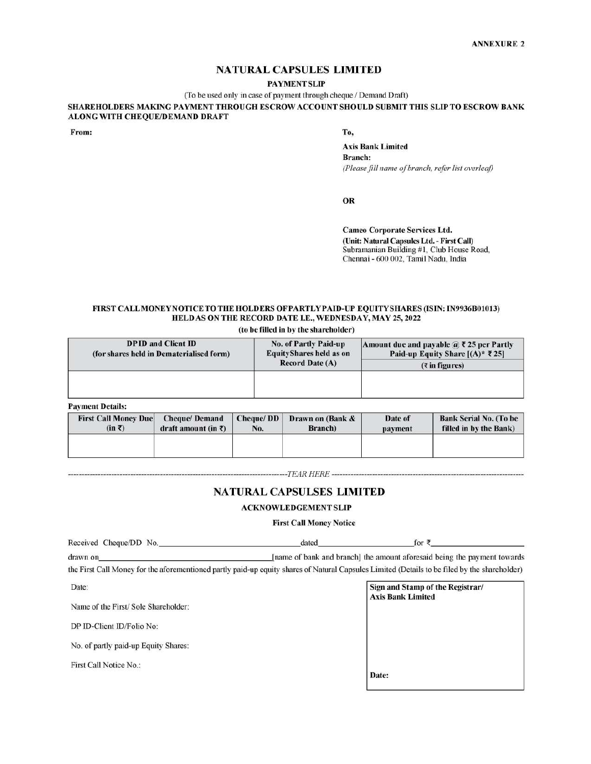# NATURAL CAPSULES LIMITED

### **PAYMENT SLIP**

# FIRST CALLMONEYNOTICE TO THE HOLDERS OF PARTLY PAID-UP EQUITYSHARES (ISIN: IN9936B01013) HELD AS ON THE RECORD DATE LE., WEDNESDAY, MAY 25, 2022 NATURAL CAP<br>
(To be used only in case of paymer<br>
ALONG WITH CHEQUE/DEMAND DRAFT<br>
From:<br>
FIRST CALLMONEYNOTICE TO THE HOLDERS OF PA<br>
HELDAS ON THE RECORD DATE<br>
(to be filled in by

|                                                        |                                          |                  |                                                                                                                                                              |                                                                                         | <b>ANNEXURE 2</b>                                                                         |  |  |
|--------------------------------------------------------|------------------------------------------|------------------|--------------------------------------------------------------------------------------------------------------------------------------------------------------|-----------------------------------------------------------------------------------------|-------------------------------------------------------------------------------------------|--|--|
|                                                        |                                          |                  | <b>NATURAL CAPSULES LIMITED</b>                                                                                                                              |                                                                                         |                                                                                           |  |  |
|                                                        |                                          |                  | <b>PAYMENT SLIP</b>                                                                                                                                          |                                                                                         |                                                                                           |  |  |
|                                                        |                                          |                  | (To be used only in case of payment through cheque / Demand Draft)                                                                                           |                                                                                         |                                                                                           |  |  |
| ALONG WITH CHEQUE/DEMAND DRAFT                         |                                          |                  |                                                                                                                                                              |                                                                                         | SHAREHOLDERS MAKING PAYMENT THROUGH ESCROW ACCOUNT SHOULD SUBMIT THIS SLIP TO ESCROW BANK |  |  |
| From:                                                  |                                          |                  | To,                                                                                                                                                          |                                                                                         |                                                                                           |  |  |
|                                                        |                                          |                  |                                                                                                                                                              | <b>Axis Bank Limited</b>                                                                |                                                                                           |  |  |
|                                                        |                                          |                  | <b>Branch:</b>                                                                                                                                               |                                                                                         |                                                                                           |  |  |
|                                                        |                                          |                  |                                                                                                                                                              | (Please fill name of branch, refer list overleaf)                                       |                                                                                           |  |  |
|                                                        |                                          |                  | <b>OR</b>                                                                                                                                                    |                                                                                         |                                                                                           |  |  |
|                                                        |                                          |                  |                                                                                                                                                              |                                                                                         |                                                                                           |  |  |
|                                                        |                                          |                  |                                                                                                                                                              | <b>Cameo Corporate Services Ltd.</b>                                                    |                                                                                           |  |  |
|                                                        |                                          |                  |                                                                                                                                                              | (Unit: Natural Capsules Ltd. - First Call)<br>Subramanian Building #1, Club House Road, |                                                                                           |  |  |
|                                                        |                                          |                  |                                                                                                                                                              | Chennai - 600 002, Tamil Nadu, India                                                    |                                                                                           |  |  |
|                                                        |                                          |                  |                                                                                                                                                              |                                                                                         |                                                                                           |  |  |
|                                                        |                                          |                  |                                                                                                                                                              |                                                                                         |                                                                                           |  |  |
|                                                        |                                          |                  | <b>FIRST CALLMONEYNOTICE TO THE HOLDERS OF PARTLY PAID-UP EQUITY SHARES (ISIN: IN9936B01013)</b><br>HELD AS ON THE RECORD DATE I.E., WEDNESDAY, MAY 25, 2022 |                                                                                         |                                                                                           |  |  |
|                                                        |                                          |                  | (to be filled in by the shareholder)                                                                                                                         |                                                                                         |                                                                                           |  |  |
|                                                        | <b>DPID</b> and Client ID                |                  | <b>No. of Partly Paid-up</b>                                                                                                                                 |                                                                                         | Amount due and payable $\mathscr{A}$ ? 25 per Partly                                      |  |  |
|                                                        | (for shares held in Dematerialised form) |                  | <b>EquityShares held as on</b><br><b>Record Date (A)</b>                                                                                                     |                                                                                         | Paid-up Equity Share [(A) <sup>*</sup> ₹25]<br>$($ $\bar{\tau}$ in figures)               |  |  |
|                                                        |                                          |                  |                                                                                                                                                              |                                                                                         |                                                                                           |  |  |
|                                                        |                                          |                  |                                                                                                                                                              |                                                                                         |                                                                                           |  |  |
| <b>Payment Details:</b><br><b>First Call Money Due</b> | <b>Cheque/Demand</b>                     | <b>Cheque/DD</b> |                                                                                                                                                              | Date of                                                                                 | <b>Bank Serial No. (To be</b>                                                             |  |  |
| $(in \bar{z})$                                         | draft amount (in $\bar{z}$ )             | No.              | Drawn on (Bank &<br>Branch)                                                                                                                                  | payment                                                                                 | filled in by the Bank)                                                                    |  |  |
|                                                        |                                          |                  |                                                                                                                                                              |                                                                                         |                                                                                           |  |  |
|                                                        |                                          |                  |                                                                                                                                                              |                                                                                         |                                                                                           |  |  |
|                                                        |                                          |                  | <b>NATURAL CAPSULSES LIMITED</b>                                                                                                                             |                                                                                         |                                                                                           |  |  |
|                                                        |                                          |                  | <b>ACKNOWLEDGEMENT SLIP</b>                                                                                                                                  |                                                                                         |                                                                                           |  |  |
|                                                        |                                          |                  | <b>First Call Money Notice</b>                                                                                                                               |                                                                                         |                                                                                           |  |  |
| Received Cheque/DD No.                                 |                                          |                  | dated                                                                                                                                                        | for ₹_                                                                                  |                                                                                           |  |  |

| <b>First Call Money Due</b><br>$(in \bar{z})$ | <b>Cheque/Demand</b><br>draft amount (in $\bar{x}$ ) | Cheque/DD<br>No. | Drawn on (Bank &<br>Branch)      | Date of<br>payment | <b>Bank Serial No. (To be</b><br>filled in by the Bank) |
|-----------------------------------------------|------------------------------------------------------|------------------|----------------------------------|--------------------|---------------------------------------------------------|
|                                               |                                                      |                  |                                  |                    |                                                         |
|                                               |                                                      |                  | <b>NATURAL CAPSULSES LIMITED</b> |                    |                                                         |
|                                               |                                                      |                  | <b>ACKNOWLEDGEMENT SLIP</b>      |                    |                                                         |
|                                               |                                                      |                  | <b>First Call Money Notice</b>   |                    |                                                         |
|                                               |                                                      |                  | dated                            | for ₹              |                                                         |
| Received Cheque/DD No.                        |                                                      |                  |                                  |                    |                                                         |

# NATURAL CAPSULSES LIMITED

### ACKNOWLEDGEMENT SLIP

### First Call Money Notice

| Date:                                | Sign and Stamp of the Registrar/<br><b>Axis Bank Limited</b> |
|--------------------------------------|--------------------------------------------------------------|
| Name of the First/Sole Shareholder:  |                                                              |
| DP ID-Client ID/Folio No:            |                                                              |
| No. of partly paid-up Equity Shares: |                                                              |
| First Call Notice No.:               | Date:                                                        |